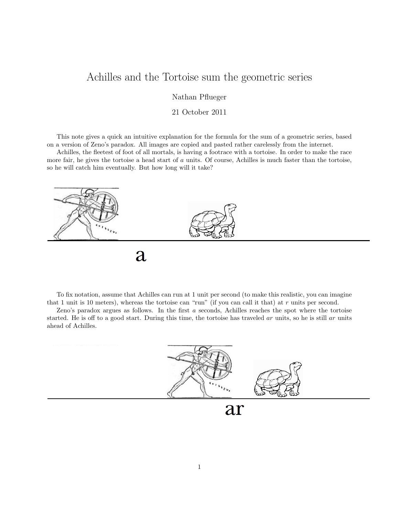## Achilles and the Tortoise sum the geometric series

Nathan Pflueger

## 21 October 2011

This note gives a quick an intuitive explanation for the formula for the sum of a geometric series, based on a version of Zeno's paradox. All images are copied and pasted rather carelessly from the internet.

Achilles, the fleetest of foot of all mortals, is having a footrace with a tortoise. In order to make the race more fair, he gives the tortoise a head start of  $a$  units. Of course, Achilles is much faster than the tortoise, so he will catch him eventually. But how long will it take?



 $\overline{a}$ 

To fix notation, assume that Achilles can run at 1 unit per second (to make this realistic, you can imagine that 1 unit is 10 meters), whereas the tortoise can "run" (if you can call it that) at  $r$  units per second.

Zeno's paradox argues as follows. In the first a seconds, Achilles reaches the spot where the tortoise started. He is off to a good start. During this time, the tortoise has traveled ar units, so he is still ar units ahead of Achilles.